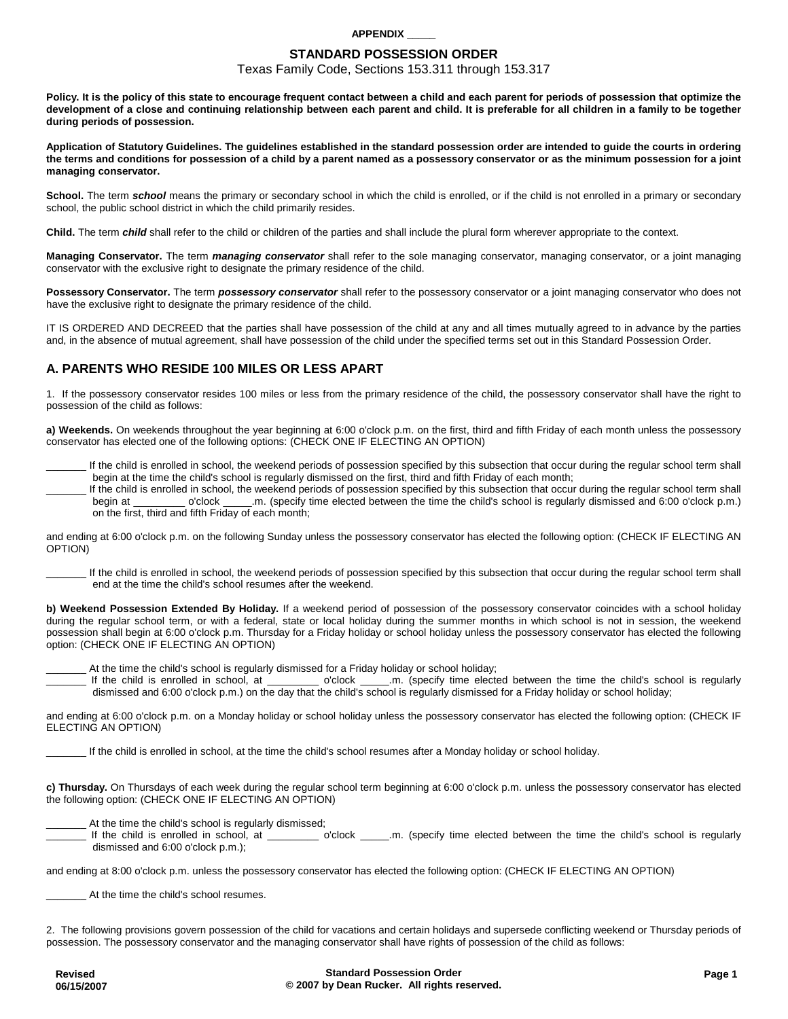## **APPENDIX \_\_\_\_\_**

## **STANDARD POSSESSION ORDER**

Texas Family Code, Sections 153.311 through 153.317

**Policy. It is the policy of this state to encourage frequent contact between a child and each parent for periods of possession that optimize the development of a close and continuing relationship between each parent and child. It is preferable for all children in a family to be together during periods of possession.** 

**Application of Statutory Guidelines. The guidelines established in the standard possession order are intended to guide the courts in ordering the terms and conditions for possession of a child by a parent named as a possessory conservator or as the minimum possession for a joint managing conservator.** 

School. The term school means the primary or secondary school in which the child is enrolled, or if the child is not enrolled in a primary or secondary school, the public school district in which the child primarily resides.

**Child.** The term **child** shall refer to the child or children of the parties and shall include the plural form wherever appropriate to the context.

**Managing Conservator.** The term **managing conservator** shall refer to the sole managing conservator, managing conservator, or a joint managing conservator with the exclusive right to designate the primary residence of the child.

**Possessory Conservator.** The term **possessory conservator** shall refer to the possessory conservator or a joint managing conservator who does not have the exclusive right to designate the primary residence of the child.

IT IS ORDERED AND DECREED that the parties shall have possession of the child at any and all times mutually agreed to in advance by the parties and, in the absence of mutual agreement, shall have possession of the child under the specified terms set out in this Standard Possession Order.

# **A. PARENTS WHO RESIDE 100 MILES OR LESS APART**

1. If the possessory conservator resides 100 miles or less from the primary residence of the child, the possessory conservator shall have the right to possession of the child as follows:

**a) Weekends.** On weekends throughout the year beginning at 6:00 o'clock p.m. on the first, third and fifth Friday of each month unless the possessory conservator has elected one of the following options: (CHECK ONE IF ELECTING AN OPTION)

If the child is enrolled in school, the weekend periods of possession specified by this subsection that occur during the regular school term shall begin at the time the child's school is regularly dismissed on the first, third and fifth Friday of each month;

If the child is enrolled in school, the weekend periods of possession specified by this subsection that occur during the regular school term shall begin at \_\_\_\_\_\_\_\_\_ o'clock \_\_\_\_\_.m. (specify time elected between the time the child's school is regularly dismissed and 6:00 o'clock p.m.) on the first, third and fifth Friday of each month;

and ending at 6:00 o'clock p.m. on the following Sunday unless the possessory conservator has elected the following option: (CHECK IF ELECTING AN OPTION)

If the child is enrolled in school, the weekend periods of possession specified by this subsection that occur during the regular school term shall end at the time the child's school resumes after the weekend.

**b) Weekend Possession Extended By Holiday.** If a weekend period of possession of the possessory conservator coincides with a school holiday during the regular school term, or with a federal, state or local holiday during the summer months in which school is not in session, the weekend possession shall begin at 6:00 o'clock p.m. Thursday for a Friday holiday or school holiday unless the possessory conservator has elected the following option: (CHECK ONE IF ELECTING AN OPTION)

At the time the child's school is regularly dismissed for a Friday holiday or school holiday;

If the child is enrolled in school, at \_\_\_\_\_\_\_\_ o'clock \_\_\_\_.m. (specify time elected between the time the child's school is regularly dismissed and 6:00 o'clock p.m.) on the day that the child's school is regularly dismissed for a Friday holiday or school holiday;

and ending at 6:00 o'clock p.m. on a Monday holiday or school holiday unless the possessory conservator has elected the following option: (CHECK IF ELECTING AN OPTION)

\_\_\_\_\_\_\_ If the child is enrolled in school, at the time the child's school resumes after a Monday holiday or school holiday.

**c) Thursday.** On Thursdays of each week during the regular school term beginning at 6:00 o'clock p.m. unless the possessory conservator has elected the following option: (CHECK ONE IF ELECTING AN OPTION)

At the time the child's school is regularly dismissed;

If the child is enrolled in school, at \_\_\_\_\_\_\_\_ o'clock \_\_\_\_\_.m. (specify time elected between the time the child's school is regularly dismissed and 6:00 o'clock p.m.);

and ending at 8:00 o'clock p.m. unless the possessory conservator has elected the following option: (CHECK IF ELECTING AN OPTION)

\_\_\_\_\_\_\_ At the time the child's school resumes.

2. The following provisions govern possession of the child for vacations and certain holidays and supersede conflicting weekend or Thursday periods of possession. The possessory conservator and the managing conservator shall have rights of possession of the child as follows: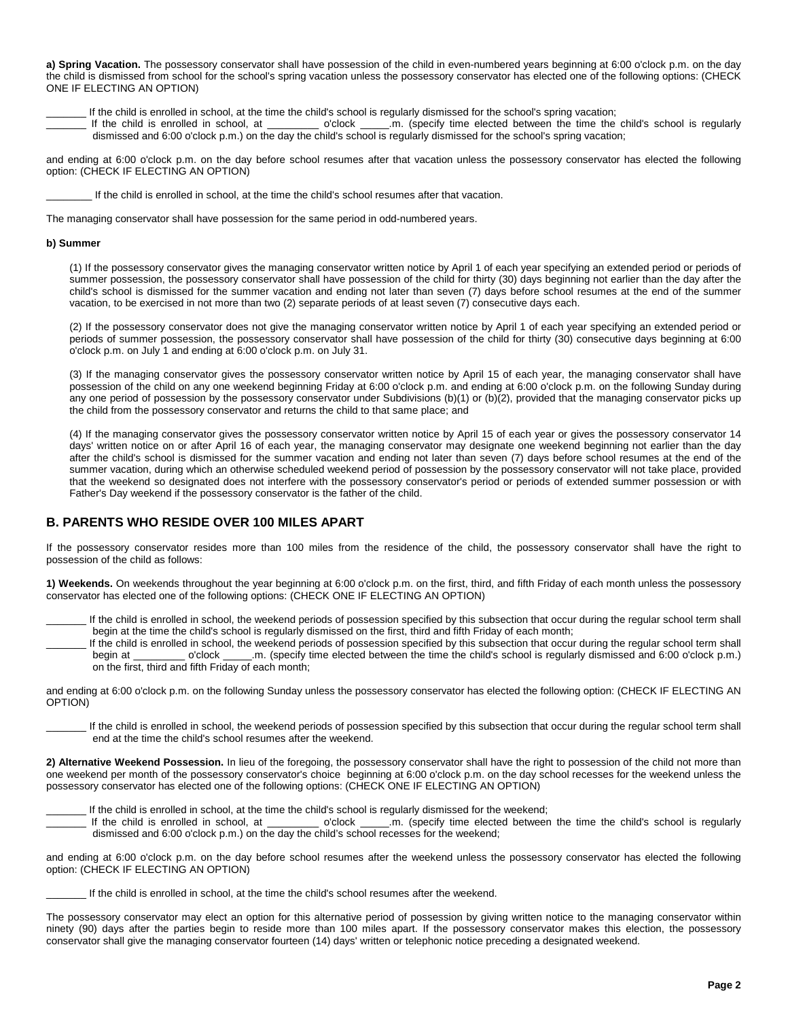**a) Spring Vacation.** The possessory conservator shall have possession of the child in even-numbered years beginning at 6:00 o'clock p.m. on the day the child is dismissed from school for the school's spring vacation unless the possessory conservator has elected one of the following options: (CHECK ONE IF ELECTING AN OPTION)

If the child is enrolled in school, at the time the child's school is regularly dismissed for the school's spring vacation;

If the child is enrolled in school, at \_\_\_\_\_\_\_\_ o'clock \_\_\_\_.m. (specify time elected between the time the child's school is regularly dismissed and 6:00 o'clock p.m.) on the day the child's school is regularly dismissed for the school's spring vacation;

and ending at 6:00 o'clock p.m. on the day before school resumes after that vacation unless the possessory conservator has elected the following option: (CHECK IF ELECTING AN OPTION)

If the child is enrolled in school, at the time the child's school resumes after that vacation.

The managing conservator shall have possession for the same period in odd-numbered years.

#### **b) Summer**

(1) If the possessory conservator gives the managing conservator written notice by April 1 of each year specifying an extended period or periods of summer possession, the possessory conservator shall have possession of the child for thirty (30) days beginning not earlier than the day after the child's school is dismissed for the summer vacation and ending not later than seven (7) days before school resumes at the end of the summer vacation, to be exercised in not more than two (2) separate periods of at least seven (7) consecutive days each.

(2) If the possessory conservator does not give the managing conservator written notice by April 1 of each year specifying an extended period or periods of summer possession, the possessory conservator shall have possession of the child for thirty (30) consecutive days beginning at 6:00 o'clock p.m. on July 1 and ending at 6:00 o'clock p.m. on July 31.

(3) If the managing conservator gives the possessory conservator written notice by April 15 of each year, the managing conservator shall have possession of the child on any one weekend beginning Friday at 6:00 o'clock p.m. and ending at 6:00 o'clock p.m. on the following Sunday during any one period of possession by the possessory conservator under Subdivisions (b)(1) or (b)(2), provided that the managing conservator picks up the child from the possessory conservator and returns the child to that same place; and

(4) If the managing conservator gives the possessory conservator written notice by April 15 of each year or gives the possessory conservator 14 days' written notice on or after April 16 of each year, the managing conservator may designate one weekend beginning not earlier than the day after the child's school is dismissed for the summer vacation and ending not later than seven (7) days before school resumes at the end of the summer vacation, during which an otherwise scheduled weekend period of possession by the possessory conservator will not take place, provided that the weekend so designated does not interfere with the possessory conservator's period or periods of extended summer possession or with Father's Day weekend if the possessory conservator is the father of the child.

# **B. PARENTS WHO RESIDE OVER 100 MILES APART**

If the possessory conservator resides more than 100 miles from the residence of the child, the possessory conservator shall have the right to possession of the child as follows:

**1) Weekends.** On weekends throughout the year beginning at 6:00 o'clock p.m. on the first, third, and fifth Friday of each month unless the possessory conservator has elected one of the following options: (CHECK ONE IF ELECTING AN OPTION)

If the child is enrolled in school, the weekend periods of possession specified by this subsection that occur during the regular school term shall begin at the time the child's school is regularly dismissed on the first, third and fifth Friday of each month;

If the child is enrolled in school, the weekend periods of possession specified by this subsection that occur during the regular school term shall begin at \_\_\_\_\_\_\_\_\_ o'clock \_\_\_\_\_.m. (specify time elected between the time the child's school is regularly dismissed and 6:00 o'clock p.m.) on the first, third and fifth Friday of each month;

and ending at 6:00 o'clock p.m. on the following Sunday unless the possessory conservator has elected the following option: (CHECK IF ELECTING AN OPTION)

If the child is enrolled in school, the weekend periods of possession specified by this subsection that occur during the regular school term shall end at the time the child's school resumes after the weekend.

**2) Alternative Weekend Possession.** In lieu of the foregoing, the possessory conservator shall have the right to possession of the child not more than one weekend per month of the possessory conservator's choice beginning at 6:00 o'clock p.m. on the day school recesses for the weekend unless the possessory conservator has elected one of the following options: (CHECK ONE IF ELECTING AN OPTION)

\_\_\_\_\_\_\_ If the child is enrolled in school, at the time the child's school is regularly dismissed for the weekend;

o'clock \_\_\_\_\_\_.m. (specify time elected between the time the child's school is regularly dismissed and 6:00 o'clock p.m.) on the day the child's school recesses for the weekend;

and ending at 6:00 o'clock p.m. on the day before school resumes after the weekend unless the possessory conservator has elected the following option: (CHECK IF ELECTING AN OPTION)

If the child is enrolled in school, at the time the child's school resumes after the weekend.

The possessory conservator may elect an option for this alternative period of possession by giving written notice to the managing conservator within ninety (90) days after the parties begin to reside more than 100 miles apart. If the possessory conservator makes this election, the possessory conservator shall give the managing conservator fourteen (14) days' written or telephonic notice preceding a designated weekend.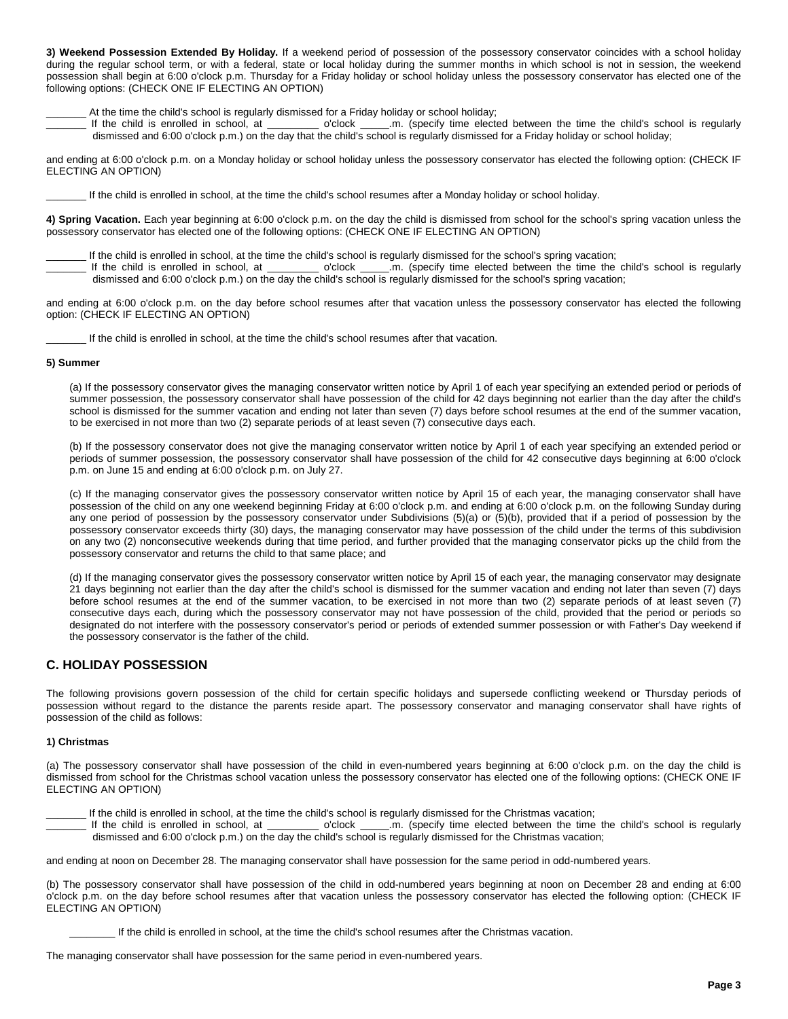**3) Weekend Possession Extended By Holiday.** If a weekend period of possession of the possessory conservator coincides with a school holiday during the regular school term, or with a federal, state or local holiday during the summer months in which school is not in session, the weekend possession shall begin at 6:00 o'clock p.m. Thursday for a Friday holiday or school holiday unless the possessory conservator has elected one of the following options: (CHECK ONE IF ELECTING AN OPTION)

\_\_\_\_\_\_\_ At the time the child's school is regularly dismissed for a Friday holiday or school holiday;

\_\_\_\_\_\_ o'clock \_\_\_\_\_\_.m. (specify time elected between the time the child's school is regularly dismissed and 6:00 o'clock p.m.) on the day that the child's school is regularly dismissed for a Friday holiday or school holiday;

and ending at 6:00 o'clock p.m. on a Monday holiday or school holiday unless the possessory conservator has elected the following option: (CHECK IF ELECTING AN OPTION)

If the child is enrolled in school, at the time the child's school resumes after a Monday holiday or school holiday.

**4) Spring Vacation.** Each year beginning at 6:00 o'clock p.m. on the day the child is dismissed from school for the school's spring vacation unless the possessory conservator has elected one of the following options: (CHECK ONE IF ELECTING AN OPTION)

If the child is enrolled in school, at the time the child's school is regularly dismissed for the school's spring vacation;

If the child is enrolled in school, at \_\_\_\_\_\_\_\_ o'clock \_\_\_\_\_.m. (specify time elected between the time the child's school is regularly dismissed and 6:00 o'clock p.m.) on the day the child's school is regularly dismissed for the school's spring vacation;

and ending at 6:00 o'clock p.m. on the day before school resumes after that vacation unless the possessory conservator has elected the following option: (CHECK IF ELECTING AN OPTION)

If the child is enrolled in school, at the time the child's school resumes after that vacation.

#### **5) Summer**

(a) If the possessory conservator gives the managing conservator written notice by April 1 of each year specifying an extended period or periods of summer possession, the possessory conservator shall have possession of the child for 42 days beginning not earlier than the day after the child's school is dismissed for the summer vacation and ending not later than seven (7) days before school resumes at the end of the summer vacation, to be exercised in not more than two (2) separate periods of at least seven (7) consecutive days each.

(b) If the possessory conservator does not give the managing conservator written notice by April 1 of each year specifying an extended period or periods of summer possession, the possessory conservator shall have possession of the child for 42 consecutive days beginning at 6:00 o'clock p.m. on June 15 and ending at 6:00 o'clock p.m. on July 27.

(c) If the managing conservator gives the possessory conservator written notice by April 15 of each year, the managing conservator shall have possession of the child on any one weekend beginning Friday at 6:00 o'clock p.m. and ending at 6:00 o'clock p.m. on the following Sunday during any one period of possession by the possessory conservator under Subdivisions (5)(a) or (5)(b), provided that if a period of possession by the possessory conservator exceeds thirty (30) days, the managing conservator may have possession of the child under the terms of this subdivision on any two (2) nonconsecutive weekends during that time period, and further provided that the managing conservator picks up the child from the possessory conservator and returns the child to that same place; and

(d) If the managing conservator gives the possessory conservator written notice by April 15 of each year, the managing conservator may designate 21 days beginning not earlier than the day after the child's school is dismissed for the summer vacation and ending not later than seven (7) days before school resumes at the end of the summer vacation, to be exercised in not more than two (2) separate periods of at least seven (7) consecutive days each, during which the possessory conservator may not have possession of the child, provided that the period or periods so designated do not interfere with the possessory conservator's period or periods of extended summer possession or with Father's Day weekend if the possessory conservator is the father of the child.

# **C. HOLIDAY POSSESSION**

The following provisions govern possession of the child for certain specific holidays and supersede conflicting weekend or Thursday periods of possession without regard to the distance the parents reside apart. The possessory conservator and managing conservator shall have rights of possession of the child as follows:

## **1) Christmas**

(a) The possessory conservator shall have possession of the child in even-numbered years beginning at 6:00 o'clock p.m. on the day the child is dismissed from school for the Christmas school vacation unless the possessory conservator has elected one of the following options: (CHECK ONE IF ELECTING AN OPTION)

If the child is enrolled in school, at the time the child's school is regularly dismissed for the Christmas vacation;

If the child is enrolled in school, at \_\_\_\_\_\_\_\_ o'clock \_\_\_\_.m. (specify time elected between the time the child's school is regularly dismissed and 6:00 o'clock p.m.) on the day the child's school is regularly dismissed for the Christmas vacation;

and ending at noon on December 28. The managing conservator shall have possession for the same period in odd-numbered years.

(b) The possessory conservator shall have possession of the child in odd-numbered years beginning at noon on December 28 and ending at 6:00 o'clock p.m. on the day before school resumes after that vacation unless the possessory conservator has elected the following option: (CHECK IF ELECTING AN OPTION)

\_\_\_\_\_\_\_\_ If the child is enrolled in school, at the time the child's school resumes after the Christmas vacation.

The managing conservator shall have possession for the same period in even-numbered years.